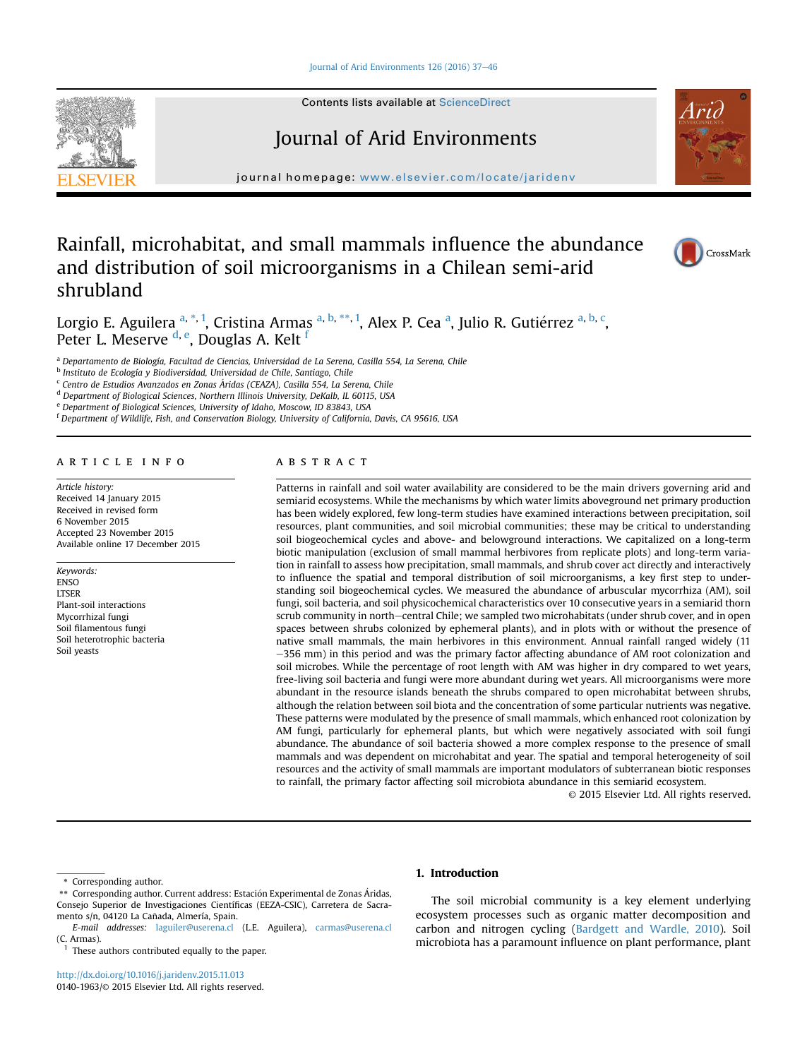[Journal of Arid Environments 126 \(2016\) 37](http://dx.doi.org/10.1016/j.jaridenv.2015.11.013)-[46](http://dx.doi.org/10.1016/j.jaridenv.2015.11.013)



Contents lists available at [ScienceDirect](www.sciencedirect.com/science/journal/01401963)

# Journal of Arid Environments

journal homepage: [www.elsevier.com/locate/jaridenv](http://www.elsevier.com/locate/jaridenv)

# Rainfall, microhabitat, and small mammals influence the abundance and distribution of soil microorganisms in a Chilean semi-arid shrubland





Lorgio E. Aguilera <sup>a, \*, 1</sup>, Cristina Armas <sup>a, b, \*\*, 1</sup>, Alex P. Cea <sup>a</sup>, Julio R. Gutiérrez <sup>a, b, c</sup>, Peter L. Meserve <sup>d, e</sup>, Douglas A. Kelt <sup>f</sup>

a Departamento de Biología, Facultad de Ciencias, Universidad de La Serena, Casilla 554, La Serena, Chile

<sup>b</sup> Instituto de Ecología y Biodiversidad, Universidad de Chile, Santiago, Chile

<sup>c</sup> Centro de Estudios Avanzados en Zonas Áridas (CEAZA), Casilla 554, La Serena, Chile

<sup>d</sup> Department of Biological Sciences, Northern Illinois University, DeKalb, IL 60115, USA

<sup>e</sup> Department of Biological Sciences, University of Idaho, Moscow, ID 83843, USA

<sup>f</sup> Department of Wildlife, Fish, and Conservation Biology, University of California, Davis, CA 95616, USA

# article info

Article history: Received 14 January 2015 Received in revised form 6 November 2015 Accepted 23 November 2015 Available online 17 December 2015

Keywords: **ENSO** LTSER Plant-soil interactions Mycorrhizal fungi Soil filamentous fungi Soil heterotrophic bacteria Soil yeasts

# **ABSTRACT**

Patterns in rainfall and soil water availability are considered to be the main drivers governing arid and semiarid ecosystems. While the mechanisms by which water limits aboveground net primary production has been widely explored, few long-term studies have examined interactions between precipitation, soil resources, plant communities, and soil microbial communities; these may be critical to understanding soil biogeochemical cycles and above- and belowground interactions. We capitalized on a long-term biotic manipulation (exclusion of small mammal herbivores from replicate plots) and long-term variation in rainfall to assess how precipitation, small mammals, and shrub cover act directly and interactively to influence the spatial and temporal distribution of soil microorganisms, a key first step to understanding soil biogeochemical cycles. We measured the abundance of arbuscular mycorrhiza (AM), soil fungi, soil bacteria, and soil physicochemical characteristics over 10 consecutive years in a semiarid thorn scrub community in north-central Chile; we sampled two microhabitats (under shrub cover, and in open spaces between shrubs colonized by ephemeral plants), and in plots with or without the presence of native small mammals, the main herbivores in this environment. Annual rainfall ranged widely (11 -356 mm) in this period and was the primary factor affecting abundance of AM root colonization and soil microbes. While the percentage of root length with AM was higher in dry compared to wet years, free-living soil bacteria and fungi were more abundant during wet years. All microorganisms were more abundant in the resource islands beneath the shrubs compared to open microhabitat between shrubs, although the relation between soil biota and the concentration of some particular nutrients was negative. These patterns were modulated by the presence of small mammals, which enhanced root colonization by AM fungi, particularly for ephemeral plants, but which were negatively associated with soil fungi abundance. The abundance of soil bacteria showed a more complex response to the presence of small mammals and was dependent on microhabitat and year. The spatial and temporal heterogeneity of soil resources and the activity of small mammals are important modulators of subterranean biotic responses to rainfall, the primary factor affecting soil microbiota abundance in this semiarid ecosystem.

© 2015 Elsevier Ltd. All rights reserved.

\* Corresponding author.

These authors contributed equally to the paper.

<http://dx.doi.org/10.1016/j.jaridenv.2015.11.013> 0140-1963/© 2015 Elsevier Ltd. All rights reserved.

# 1. Introduction

The soil microbial community is a key element underlying ecosystem processes such as organic matter decomposition and carbon and nitrogen cycling ([Bardgett and Wardle, 2010](#page-9-0)). Soil microbiota has a paramount influence on plant performance, plant

<sup>\*\*</sup> Corresponding author. Current address: Estación Experimental de Zonas Áridas, Consejo Superior de Investigaciones Científicas (EEZA-CSIC), Carretera de Sacramento s/n, 04120 La Cañada, Almería, Spain.

E-mail addresses: [laguiler@userena.cl](mailto:laguiler@userena.cl) (L.E. Aguilera), [carmas@userena.cl](mailto:carmas@userena.cl) (C. Armas).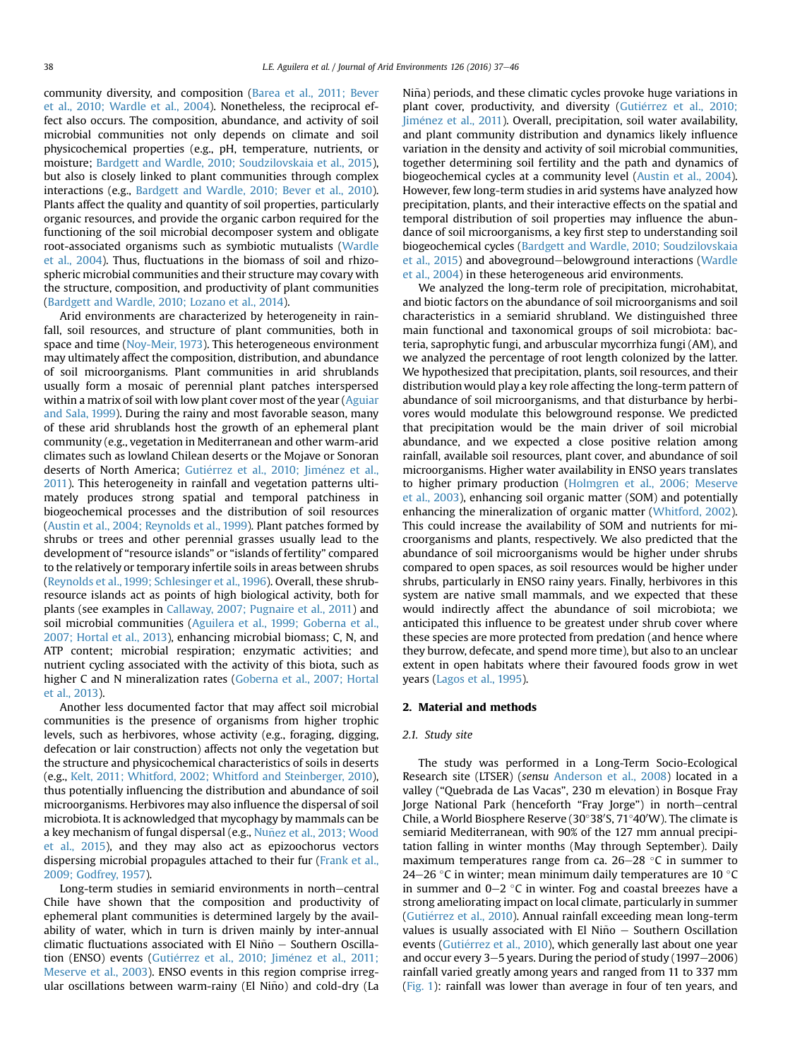community diversity, and composition ([Barea et al., 2011; Bever](#page-9-0) [et al., 2010; Wardle et al., 2004\)](#page-9-0). Nonetheless, the reciprocal effect also occurs. The composition, abundance, and activity of soil microbial communities not only depends on climate and soil physicochemical properties (e.g., pH, temperature, nutrients, or moisture; [Bardgett and Wardle, 2010; Soudzilovskaia et al., 2015\)](#page-9-0), but also is closely linked to plant communities through complex interactions (e.g., [Bardgett and Wardle, 2010; Bever et al., 2010\)](#page-9-0). Plants affect the quality and quantity of soil properties, particularly organic resources, and provide the organic carbon required for the functioning of the soil microbial decomposer system and obligate root-associated organisms such as symbiotic mutualists [\(Wardle](#page-9-0) [et al., 2004](#page-9-0)). Thus, fluctuations in the biomass of soil and rhizospheric microbial communities and their structure may covary with the structure, composition, and productivity of plant communities ([Bardgett and Wardle, 2010; Lozano et al., 2014](#page-9-0)).

Arid environments are characterized by heterogeneity in rainfall, soil resources, and structure of plant communities, both in space and time ([Noy-Meir, 1973](#page-9-0)). This heterogeneous environment may ultimately affect the composition, distribution, and abundance of soil microorganisms. Plant communities in arid shrublands usually form a mosaic of perennial plant patches interspersed within a matrix of soil with low plant cover most of the year [\(Aguiar](#page-8-0) [and Sala, 1999\)](#page-8-0). During the rainy and most favorable season, many of these arid shrublands host the growth of an ephemeral plant community (e.g., vegetation in Mediterranean and other warm-arid climates such as lowland Chilean deserts or the Mojave or Sonoran deserts of North America; Gutiérrez et al., 2010; Jiménez et al., [2011\)](#page-9-0). This heterogeneity in rainfall and vegetation patterns ultimately produces strong spatial and temporal patchiness in biogeochemical processes and the distribution of soil resources ([Austin et al., 2004; Reynolds et al., 1999](#page-9-0)). Plant patches formed by shrubs or trees and other perennial grasses usually lead to the development of "resource islands" or "islands of fertility" compared to the relatively or temporary infertile soils in areas between shrubs ([Reynolds et al., 1999; Schlesinger et al., 1996\)](#page-9-0). Overall, these shrubresource islands act as points of high biological activity, both for plants (see examples in [Callaway, 2007; Pugnaire et al., 2011](#page-9-0)) and soil microbial communities [\(Aguilera et al., 1999; Goberna et al.,](#page-8-0) [2007; Hortal et al., 2013](#page-8-0)), enhancing microbial biomass; C, N, and ATP content; microbial respiration; enzymatic activities; and nutrient cycling associated with the activity of this biota, such as higher C and N mineralization rates [\(Goberna et al., 2007; Hortal](#page-9-0) [et al., 2013\)](#page-9-0).

Another less documented factor that may affect soil microbial communities is the presence of organisms from higher trophic levels, such as herbivores, whose activity (e.g., foraging, digging, defecation or lair construction) affects not only the vegetation but the structure and physicochemical characteristics of soils in deserts (e.g., [Kelt, 2011; Whitford, 2002; Whitford and Steinberger, 2010\)](#page-9-0), thus potentially influencing the distribution and abundance of soil microorganisms. Herbivores may also influence the dispersal of soil microbiota. It is acknowledged that mycophagy by mammals can be a key mechanism of fungal dispersal (e.g., Nuñez et al., 2013; Wood [et al., 2015](#page-9-0)), and they may also act as epizoochorus vectors dispersing microbial propagules attached to their fur ([Frank et al.,](#page-9-0) [2009; Godfrey, 1957](#page-9-0)).

Long-term studies in semiarid environments in north–central Chile have shown that the composition and productivity of ephemeral plant communities is determined largely by the availability of water, which in turn is driven mainly by inter-annual climatic fluctuations associated with El Niño  $-$  Southern Oscillation (ENSO) events (Gutiérrez et al., 2010; Jiménez et al., 2011; [Meserve et al., 2003\)](#page-9-0). ENSO events in this region comprise irregular oscillations between warm-rainy (El Nino) and cold-dry (La ~

Niña) periods, and these climatic cycles provoke huge variations in plant cover, productivity, and diversity (Gutiérrez et al., 2010; [Jim](#page-9-0)é[nez et al., 2011](#page-9-0)). Overall, precipitation, soil water availability, and plant community distribution and dynamics likely influence variation in the density and activity of soil microbial communities, together determining soil fertility and the path and dynamics of biogeochemical cycles at a community level [\(Austin et al., 2004\)](#page-9-0). However, few long-term studies in arid systems have analyzed how precipitation, plants, and their interactive effects on the spatial and temporal distribution of soil properties may influence the abundance of soil microorganisms, a key first step to understanding soil biogeochemical cycles ([Bardgett and Wardle, 2010; Soudzilovskaia](#page-9-0) [et al., 2015](#page-9-0)) and aboveground-belowground interactions [\(Wardle](#page-9-0) [et al., 2004\)](#page-9-0) in these heterogeneous arid environments.

We analyzed the long-term role of precipitation, microhabitat, and biotic factors on the abundance of soil microorganisms and soil characteristics in a semiarid shrubland. We distinguished three main functional and taxonomical groups of soil microbiota: bacteria, saprophytic fungi, and arbuscular mycorrhiza fungi (AM), and we analyzed the percentage of root length colonized by the latter. We hypothesized that precipitation, plants, soil resources, and their distribution would play a key role affecting the long-term pattern of abundance of soil microorganisms, and that disturbance by herbivores would modulate this belowground response. We predicted that precipitation would be the main driver of soil microbial abundance, and we expected a close positive relation among rainfall, available soil resources, plant cover, and abundance of soil microorganisms. Higher water availability in ENSO years translates to higher primary production [\(Holmgren et al., 2006; Meserve](#page-9-0) [et al., 2003](#page-9-0)), enhancing soil organic matter (SOM) and potentially enhancing the mineralization of organic matter [\(Whitford, 2002\)](#page-9-0). This could increase the availability of SOM and nutrients for microorganisms and plants, respectively. We also predicted that the abundance of soil microorganisms would be higher under shrubs compared to open spaces, as soil resources would be higher under shrubs, particularly in ENSO rainy years. Finally, herbivores in this system are native small mammals, and we expected that these would indirectly affect the abundance of soil microbiota; we anticipated this influence to be greatest under shrub cover where these species are more protected from predation (and hence where they burrow, defecate, and spend more time), but also to an unclear extent in open habitats where their favoured foods grow in wet years [\(Lagos et al., 1995](#page-9-0)).

## 2. Material and methods

## 2.1. Study site

The study was performed in a Long-Term Socio-Ecological Research site (LTSER) (sensu [Anderson et al., 2008\)](#page-8-0) located in a valley ("Quebrada de Las Vacas", 230 m elevation) in Bosque Fray Jorge National Park (henceforth "Fray Jorge") in north-central Chile, a World Biosphere Reserve (30°38′S, 71°40′W). The climate is semiarid Mediterranean, with 90% of the 127 mm annual precipitation falling in winter months (May through September). Daily maximum temperatures range from ca.  $26-28$  °C in summer to 24–26 °C in winter; mean minimum daily temperatures are 10 °C in summer and  $0-2$  °C in winter. Fog and coastal breezes have a strong ameliorating impact on local climate, particularly in summer (Gutiérrez et al., 2010). Annual rainfall exceeding mean long-term values is usually associated with El Niño  $-$  Southern Oscillation events (Gutiérrez et al., 2010), which generally last about one year and occur every  $3-5$  years. During the period of study (1997 $-2006$ ) rainfall varied greatly among years and ranged from 11 to 337 mm ([Fig. 1](#page-2-0)): rainfall was lower than average in four of ten years, and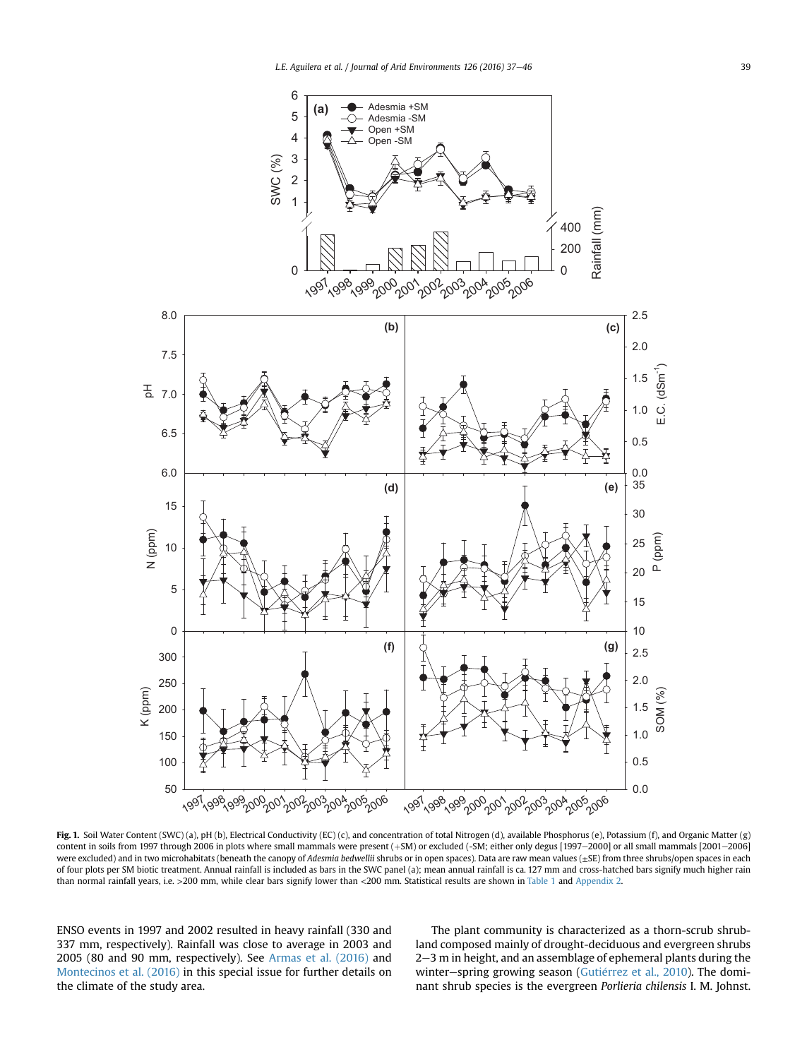<span id="page-2-0"></span>

Fig. 1. Soil Water Content (SWC) (a), pH (b), Electrical Conductivity (EC) (c), and concentration of total Nitrogen (d), available Phosphorus (e), Potassium (f), and Organic Matter (g) content in soils from 1997 through 2006 in plots where small mammals were present (+SM) or excluded (-SM; either only degus [1997-2000] or all small mammals [2001-2006] were excluded) and in two microhabitats (beneath the canopy of Adesmia bedwellii shrubs or in open spaces). Data are raw mean values (±SE) from three shrubs/open spaces in each of four plots per SM biotic treatment. Annual rainfall is included as bars in the SWC panel (a); mean annual rainfall is ca. 127 mm and cross-hatched bars signify much higher rain than normal rainfall years, i.e. >200 mm, while clear bars signify lower than <200 mm. Statistical results are shown in [Table 1](#page-5-0) and [Appendix 2](#page-8-0).

ENSO events in 1997 and 2002 resulted in heavy rainfall (330 and 337 mm, respectively). Rainfall was close to average in 2003 and 2005 (80 and 90 mm, respectively). See [Armas et al. \(2016\)](#page-9-0) and [Montecinos et al. \(2016\)](#page-9-0) in this special issue for further details on the climate of the study area.

The plant community is characterized as a thorn-scrub shrubland composed mainly of drought-deciduous and evergreen shrubs  $2-3$  m in height, and an assemblage of ephemeral plants during the winter-spring growing season (Gutiérrez et al., 2010). The domi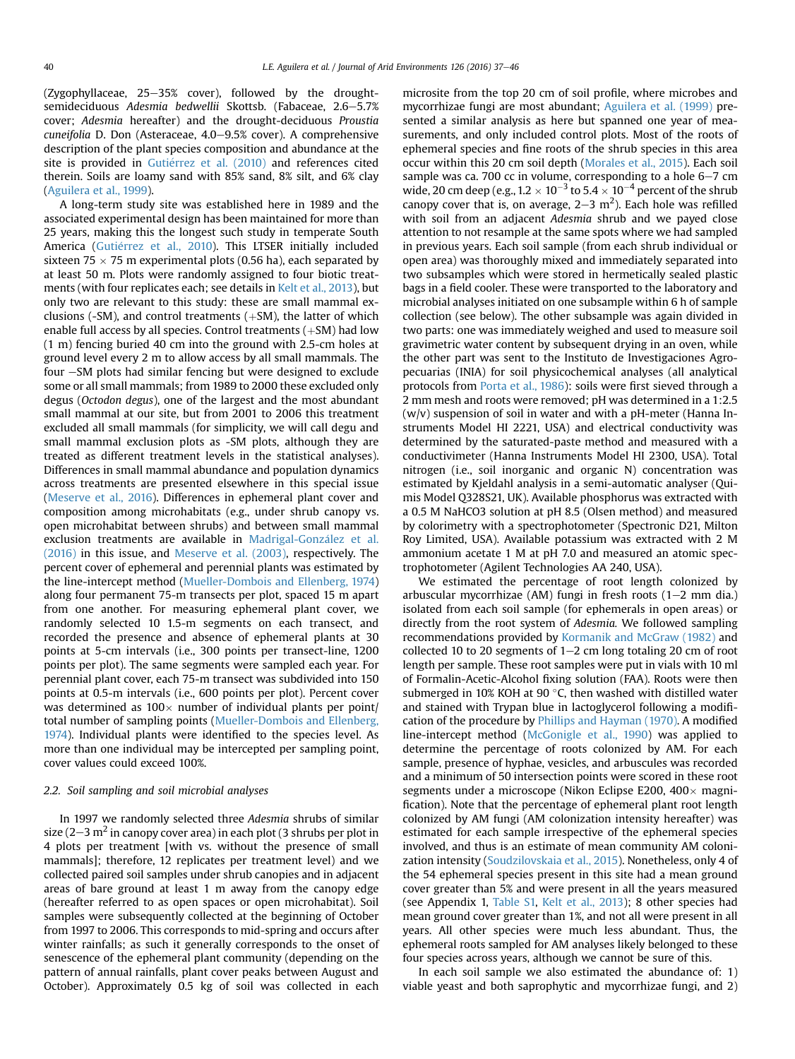(Zygophyllaceae,  $25-35%$  cover), followed by the droughtsemideciduous Adesmia bedwellii Skottsb. (Fabaceae, 2.6-5.7% cover; Adesmia hereafter) and the drought-deciduous Proustia cuneifolia D. Don (Asteraceae, 4.0-9.5% cover). A comprehensive description of the plant species composition and abundance at the site is provided in Gutiérrez et al. (2010) and references cited therein. Soils are loamy sand with 85% sand, 8% silt, and 6% clay ([Aguilera et al., 1999](#page-8-0)).

A long-term study site was established here in 1989 and the associated experimental design has been maintained for more than 25 years, making this the longest such study in temperate South America [\(Guti](#page-9-0)é[rrez et al., 2010](#page-9-0)). This LTSER initially included sixteen 75  $\times$  75 m experimental plots (0.56 ha), each separated by at least 50 m. Plots were randomly assigned to four biotic treatments (with four replicates each; see details in [Kelt et al., 2013](#page-9-0)), but only two are relevant to this study: these are small mammal exclusions (-SM), and control treatments ( $+SM$ ), the latter of which enable full access by all species. Control treatments  $(+SM)$  had low (1 m) fencing buried 40 cm into the ground with 2.5-cm holes at ground level every 2 m to allow access by all small mammals. The four  $-SM$  plots had similar fencing but were designed to exclude some or all small mammals; from 1989 to 2000 these excluded only degus (Octodon degus), one of the largest and the most abundant small mammal at our site, but from 2001 to 2006 this treatment excluded all small mammals (for simplicity, we will call degu and small mammal exclusion plots as -SM plots, although they are treated as different treatment levels in the statistical analyses). Differences in small mammal abundance and population dynamics across treatments are presented elsewhere in this special issue ([Meserve et al., 2016](#page-9-0)). Differences in ephemeral plant cover and composition among microhabitats (e.g., under shrub canopy vs. open microhabitat between shrubs) and between small mammal exclusion treatments are available in Madrigal-González et al. [\(2016\)](#page-9-0) in this issue, and [Meserve et al. \(2003\)](#page-9-0), respectively. The percent cover of ephemeral and perennial plants was estimated by the line-intercept method ([Mueller-Dombois and Ellenberg, 1974\)](#page-9-0) along four permanent 75-m transects per plot, spaced 15 m apart from one another. For measuring ephemeral plant cover, we randomly selected 10 1.5-m segments on each transect, and recorded the presence and absence of ephemeral plants at 30 points at 5-cm intervals (i.e., 300 points per transect-line, 1200 points per plot). The same segments were sampled each year. For perennial plant cover, each 75-m transect was subdivided into 150 points at 0.5-m intervals (i.e., 600 points per plot). Percent cover was determined as  $100 \times$  number of individual plants per point/ total number of sampling points [\(Mueller-Dombois and Ellenberg,](#page-9-0) [1974\)](#page-9-0). Individual plants were identified to the species level. As more than one individual may be intercepted per sampling point, cover values could exceed 100%.

# 2.2. Soil sampling and soil microbial analyses

In 1997 we randomly selected three Adesmia shrubs of similar size (2–3 m<sup>2</sup> in canopy cover area) in each plot (3 shrubs per plot in 4 plots per treatment [with vs. without the presence of small mammals]; therefore, 12 replicates per treatment level) and we collected paired soil samples under shrub canopies and in adjacent areas of bare ground at least 1 m away from the canopy edge (hereafter referred to as open spaces or open microhabitat). Soil samples were subsequently collected at the beginning of October from 1997 to 2006. This corresponds to mid-spring and occurs after winter rainfalls; as such it generally corresponds to the onset of senescence of the ephemeral plant community (depending on the pattern of annual rainfalls, plant cover peaks between August and October). Approximately 0.5 kg of soil was collected in each microsite from the top 20 cm of soil profile, where microbes and mycorrhizae fungi are most abundant; [Aguilera et al. \(1999\)](#page-8-0) presented a similar analysis as here but spanned one year of measurements, and only included control plots. Most of the roots of ephemeral species and fine roots of the shrub species in this area occur within this 20 cm soil depth [\(Morales et al., 2015](#page-9-0)). Each soil sample was ca. 700 cc in volume, corresponding to a hole  $6-7$  cm wide, 20 cm deep (e.g.,  $1.2 \times 10^{-3}$  to  $5.4 \times 10^{-4}$  percent of the shrub canopy cover that is, on average,  $2-3$  m<sup>2</sup>). Each hole was refilled with soil from an adjacent Adesmia shrub and we payed close attention to not resample at the same spots where we had sampled in previous years. Each soil sample (from each shrub individual or open area) was thoroughly mixed and immediately separated into two subsamples which were stored in hermetically sealed plastic bags in a field cooler. These were transported to the laboratory and microbial analyses initiated on one subsample within 6 h of sample collection (see below). The other subsample was again divided in two parts: one was immediately weighed and used to measure soil gravimetric water content by subsequent drying in an oven, while the other part was sent to the Instituto de Investigaciones Agropecuarias (INIA) for soil physicochemical analyses (all analytical protocols from [Porta et al., 1986\)](#page-9-0): soils were first sieved through a 2 mm mesh and roots were removed; pH was determined in a 1:2.5 (w/v) suspension of soil in water and with a pH-meter (Hanna Instruments Model HI 2221, USA) and electrical conductivity was determined by the saturated-paste method and measured with a conductivimeter (Hanna Instruments Model HI 2300, USA). Total nitrogen (i.e., soil inorganic and organic N) concentration was estimated by Kjeldahl analysis in a semi-automatic analyser (Quimis Model Q328S21, UK). Available phosphorus was extracted with a 0.5 M NaHCO3 solution at pH 8.5 (Olsen method) and measured by colorimetry with a spectrophotometer (Spectronic D21, Milton Roy Limited, USA). Available potassium was extracted with 2 M ammonium acetate 1 M at pH 7.0 and measured an atomic spectrophotometer (Agilent Technologies AA 240, USA).

We estimated the percentage of root length colonized by arbuscular mycorrhizae (AM) fungi in fresh roots  $(1-2 \text{ mm dia.})$ isolated from each soil sample (for ephemerals in open areas) or directly from the root system of Adesmia. We followed sampling recommendations provided by [Kormanik and McGraw \(1982\)](#page-9-0) and collected 10 to 20 segments of  $1-2$  cm long totaling 20 cm of root length per sample. These root samples were put in vials with 10 ml of Formalin-Acetic-Alcohol fixing solution (FAA). Roots were then submerged in 10% KOH at 90 $\degree$ C, then washed with distilled water and stained with Trypan blue in lactoglycerol following a modification of the procedure by [Phillips and Hayman \(1970\)](#page-9-0). A modified line-intercept method [\(McGonigle et al., 1990](#page-9-0)) was applied to determine the percentage of roots colonized by AM. For each sample, presence of hyphae, vesicles, and arbuscules was recorded and a minimum of 50 intersection points were scored in these root segments under a microscope (Nikon Eclipse E200,  $400 \times$  magnification). Note that the percentage of ephemeral plant root length colonized by AM fungi (AM colonization intensity hereafter) was estimated for each sample irrespective of the ephemeral species involved, and thus is an estimate of mean community AM colonization intensity [\(Soudzilovskaia et al., 2015](#page-9-0)). Nonetheless, only 4 of the 54 ephemeral species present in this site had a mean ground cover greater than 5% and were present in all the years measured (see Appendix 1, Table S1, [Kelt et al., 2013](#page-9-0)); 8 other species had mean ground cover greater than 1%, and not all were present in all years. All other species were much less abundant. Thus, the ephemeral roots sampled for AM analyses likely belonged to these four species across years, although we cannot be sure of this.

In each soil sample we also estimated the abundance of: 1) viable yeast and both saprophytic and mycorrhizae fungi, and 2)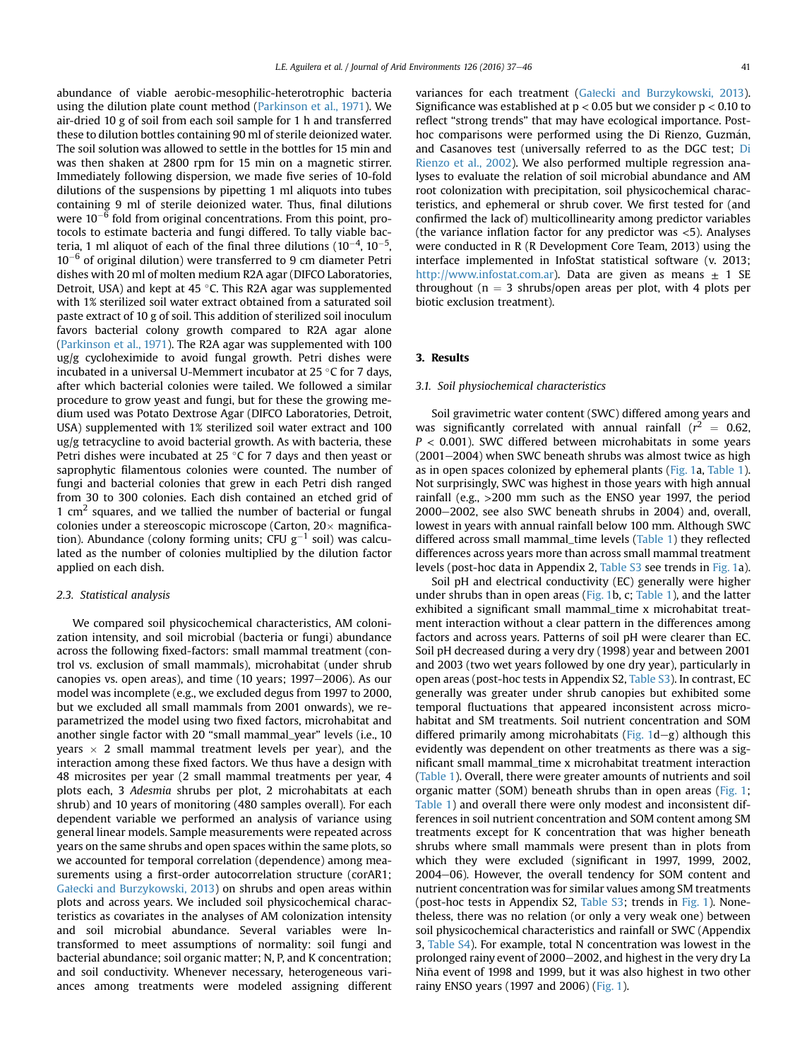abundance of viable aerobic-mesophilic-heterotrophic bacteria using the dilution plate count method [\(Parkinson et al., 1971](#page-9-0)). We air-dried 10 g of soil from each soil sample for 1 h and transferred these to dilution bottles containing 90 ml of sterile deionized water. The soil solution was allowed to settle in the bottles for 15 min and was then shaken at 2800 rpm for 15 min on a magnetic stirrer. Immediately following dispersion, we made five series of 10-fold dilutions of the suspensions by pipetting 1 ml aliquots into tubes containing 9 ml of sterile deionized water. Thus, final dilutions were  $10^{-6}$  fold from original concentrations. From this point, protocols to estimate bacteria and fungi differed. To tally viable bacteria, 1 ml aliquot of each of the final three dilutions (10<sup>-4</sup>, 10<sup>-5</sup>,  $10^{-6}$  of original dilution) were transferred to 9 cm diameter Petri dishes with 20 ml of molten medium R2A agar (DIFCO Laboratories, Detroit, USA) and kept at 45 $\degree$ C. This R2A agar was supplemented with 1% sterilized soil water extract obtained from a saturated soil paste extract of 10 g of soil. This addition of sterilized soil inoculum favors bacterial colony growth compared to R2A agar alone ([Parkinson et al., 1971\)](#page-9-0). The R2A agar was supplemented with 100 ug/g cycloheximide to avoid fungal growth. Petri dishes were incubated in a universal U-Memmert incubator at 25  $\degree$ C for 7 days, after which bacterial colonies were tailed. We followed a similar procedure to grow yeast and fungi, but for these the growing medium used was Potato Dextrose Agar (DIFCO Laboratories, Detroit, USA) supplemented with 1% sterilized soil water extract and 100 ug/g tetracycline to avoid bacterial growth. As with bacteria, these Petri dishes were incubated at 25  $\degree$ C for 7 days and then yeast or saprophytic filamentous colonies were counted. The number of fungi and bacterial colonies that grew in each Petri dish ranged from 30 to 300 colonies. Each dish contained an etched grid of 1  $cm<sup>2</sup>$  squares, and we tallied the number of bacterial or fungal colonies under a stereoscopic microscope (Carton,  $20 \times$  magnification). Abundance (colony forming units; CFU  $g^{-1}$  soil) was calculated as the number of colonies multiplied by the dilution factor applied on each dish.

## 2.3. Statistical analysis

We compared soil physicochemical characteristics, AM colonization intensity, and soil microbial (bacteria or fungi) abundance across the following fixed-factors: small mammal treatment (control vs. exclusion of small mammals), microhabitat (under shrub canopies vs. open areas), and time  $(10 \text{ years}; 1997-2006)$ . As our model was incomplete (e.g., we excluded degus from 1997 to 2000, but we excluded all small mammals from 2001 onwards), we reparametrized the model using two fixed factors, microhabitat and another single factor with 20 "small mammal\_year" levels (i.e., 10 years  $\times$  2 small mammal treatment levels per year), and the interaction among these fixed factors. We thus have a design with 48 microsites per year (2 small mammal treatments per year, 4 plots each, 3 Adesmia shrubs per plot, 2 microhabitats at each shrub) and 10 years of monitoring (480 samples overall). For each dependent variable we performed an analysis of variance using general linear models. Sample measurements were repeated across years on the same shrubs and open spaces within the same plots, so we accounted for temporal correlation (dependence) among measurements using a first-order autocorrelation structure (corAR1; Gał[ecki and Burzykowski, 2013](#page-9-0)) on shrubs and open areas within plots and across years. We included soil physicochemical characteristics as covariates in the analyses of AM colonization intensity and soil microbial abundance. Several variables were lntransformed to meet assumptions of normality: soil fungi and bacterial abundance; soil organic matter; N, P, and K concentration; and soil conductivity. Whenever necessary, heterogeneous variances among treatments were modeled assigning different variances for each treatment (Gał[ecki and Burzykowski, 2013\)](#page-9-0). Significance was established at  $p < 0.05$  but we consider  $p < 0.10$  to reflect "strong trends" that may have ecological importance. Posthoc comparisons were performed using the Di Rienzo, Guzmán, and Casanoves test (universally referred to as the DGC test; [Di](#page-9-0) [Rienzo et al., 2002](#page-9-0)). We also performed multiple regression analyses to evaluate the relation of soil microbial abundance and AM root colonization with precipitation, soil physicochemical characteristics, and ephemeral or shrub cover. We first tested for (and confirmed the lack of) multicollinearity among predictor variables (the variance inflation factor for any predictor was <5). Analyses were conducted in R (R Development Core Team, 2013) using the interface implemented in InfoStat statistical software (v. 2013; [http://www.infostat.com.ar\)](http://www.infostat.com.ar). Data are given as means  $\pm$  1 SE throughout ( $n = 3$  shrubs/open areas per plot, with 4 plots per biotic exclusion treatment).

# 3. Results

#### 3.1. Soil physiochemical characteristics

Soil gravimetric water content (SWC) differed among years and was significantly correlated with annual rainfall  $(r^2 = 0.62,$  $P < 0.001$ ). SWC differed between microhabitats in some years  $(2001–2004)$  when SWC beneath shrubs was almost twice as high as in open spaces colonized by ephemeral plants [\(Fig. 1a](#page-2-0), [Table 1\)](#page-5-0). Not surprisingly, SWC was highest in those years with high annual rainfall (e.g., >200 mm such as the ENSO year 1997, the period 2000-2002, see also SWC beneath shrubs in 2004) and, overall, lowest in years with annual rainfall below 100 mm. Although SWC differed across small mammal\_time levels [\(Table 1\)](#page-5-0) they reflected differences across years more than across small mammal treatment levels (post-hoc data in Appendix 2, Table S3 see trends in [Fig. 1](#page-2-0)a).

Soil pH and electrical conductivity (EC) generally were higher under shrubs than in open areas ([Fig. 1b](#page-2-0), c; [Table 1\)](#page-5-0), and the latter exhibited a significant small mammal\_time x microhabitat treatment interaction without a clear pattern in the differences among factors and across years. Patterns of soil pH were clearer than EC. Soil pH decreased during a very dry (1998) year and between 2001 and 2003 (two wet years followed by one dry year), particularly in open areas (post-hoc tests in Appendix S2, Table S3). In contrast, EC generally was greater under shrub canopies but exhibited some temporal fluctuations that appeared inconsistent across microhabitat and SM treatments. Soil nutrient concentration and SOM differed primarily among microhabitats (Fig.  $1d-g$ ) although this evidently was dependent on other treatments as there was a significant small mammal\_time x microhabitat treatment interaction ([Table 1](#page-5-0)). Overall, there were greater amounts of nutrients and soil organic matter (SOM) beneath shrubs than in open areas [\(Fig. 1;](#page-2-0) [Table 1\)](#page-5-0) and overall there were only modest and inconsistent differences in soil nutrient concentration and SOM content among SM treatments except for K concentration that was higher beneath shrubs where small mammals were present than in plots from which they were excluded (significant in 1997, 1999, 2002,  $2004-06$ ). However, the overall tendency for SOM content and nutrient concentration was for similar values among SM treatments (post-hoc tests in Appendix S2, Table S3; trends in [Fig. 1](#page-2-0)). Nonetheless, there was no relation (or only a very weak one) between soil physicochemical characteristics and rainfall or SWC (Appendix 3, Table S4). For example, total N concentration was lowest in the prolonged rainy event of 2000–2002, and highest in the very dry La Nina event of 1998 and 1999, but it was also highest in two other ~ rainy ENSO years (1997 and 2006) [\(Fig. 1\)](#page-2-0).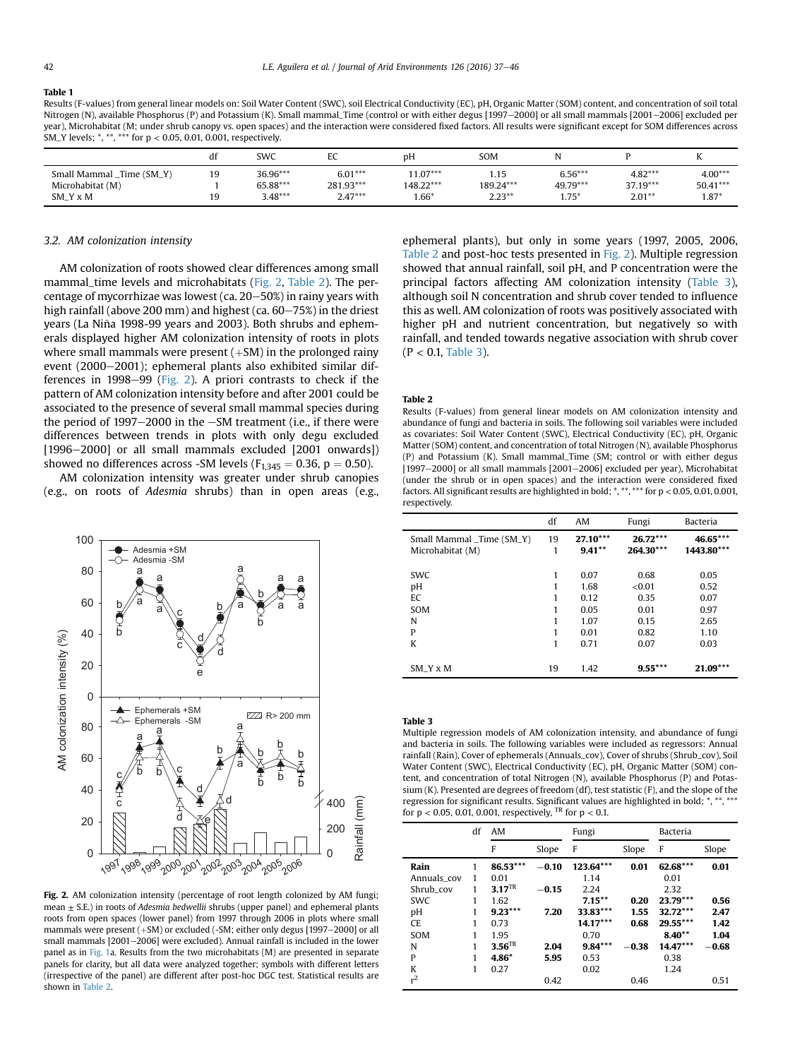#### <span id="page-5-0"></span>Table 1

Results (F-values) from general linear models on: Soil Water Content (SWC), soil Electrical Conductivity (EC), pH, Organic Matter (SOM) content, and concentration of soil total Nitrogen (N), available Phosphorus (P) and Potassium (K). Small mammal\_Time (control or with either degus [1997-2000] or all small mammals [2001-2006] excluded per year), Microhabitat (M; under shrub canopy vs. open spaces) and the interaction were considered fixed factors. All results were significant except for SOM differences across SM\_Y levels;  $*$ ,  $**$ ,  $***$  for  $p < 0.05$ , 0.01, 0.001, respectively.

|                                               | df | <b>SWC</b>             | LL                     | рH                        | SOM               |                       |                       |                         |
|-----------------------------------------------|----|------------------------|------------------------|---------------------------|-------------------|-----------------------|-----------------------|-------------------------|
| Small Mammal _Time (SM_Y)<br>Microhabitat (M) | 19 | $36.96***$<br>65.88*** | $6.01***$<br>281.93*** | $11.07***$<br>$148.22***$ | 1.15<br>189.24*** | $6.56***$<br>49.79*** | $4.82***$<br>37.19*** | $4.00***$<br>$50.41***$ |
| SM_Y x M                                      | 19 | $3.48***$              | $2.47***$              | $1.66*$                   | $2.23***$         | $1.75*$               | $2.01**$              | 1.87*                   |

#### 3.2. AM colonization intensity

AM colonization of roots showed clear differences among small mammal\_time levels and microhabitats (Fig. 2, Table 2). The percentage of mycorrhizae was lowest (ca.  $20-50\%$ ) in rainy years with high rainfall (above 200 mm) and highest (ca.  $60-75\%$ ) in the driest years (La Niña 1998-99 years and 2003). Both shrubs and ephemerals displayed higher AM colonization intensity of roots in plots where small mammals were present  $(+SM)$  in the prolonged rainy event (2000-2001); ephemeral plants also exhibited similar differences in  $1998-99$  (Fig. 2). A priori contrasts to check if the pattern of AM colonization intensity before and after 2001 could be associated to the presence of several small mammal species during the period of  $1997-2000$  in the  $-SM$  treatment (i.e., if there were differences between trends in plots with only degu excluded  $[1996-2000]$  or all small mammals excluded  $[2001$  onwards]) showed no differences across -SM levels ( $F_{1,345} = 0.36$ , p = 0.50).

AM colonization intensity was greater under shrub canopies (e.g., on roots of Adesmia shrubs) than in open areas (e.g.,



Fig. 2. AM colonization intensity (percentage of root length colonized by AM fungi; mean  $\pm$  S.E.) in roots of Adesmia bedwellii shrubs (upper panel) and ephemeral plants roots from open spaces (lower panel) from 1997 through 2006 in plots where small mammals were present  $(+SM)$  or excluded  $(-SM;$  either only degus  $[1997-2000]$  or all small mammals [2001-2006] were excluded). Annual rainfall is included in the lower panel as in [Fig. 1a](#page-2-0). Results from the two microhabitats (M) are presented in separate panels for clarity, but all data were analyzed together; symbols with different letters (irrespective of the panel) are different after post-hoc DGC test. Statistical results are shown in Table 2.

ephemeral plants), but only in some years (1997, 2005, 2006, Table 2 and post-hoc tests presented in Fig. 2). Multiple regression showed that annual rainfall, soil pH, and P concentration were the principal factors affecting AM colonization intensity (Table 3), although soil N concentration and shrub cover tended to influence this as well. AM colonization of roots was positively associated with higher pH and nutrient concentration, but negatively so with rainfall, and tended towards negative association with shrub cover  $(P < 0.1,$  Table 3).

# Table 2

Results (F-values) from general linear models on AM colonization intensity and abundance of fungi and bacteria in soils. The following soil variables were included as covariates: Soil Water Content (SWC), Electrical Conductivity (EC), pH, Organic Matter (SOM) content, and concentration of total Nitrogen (N), available Phosphorus (P) and Potassium (K). Small mammal\_Time (SM; control or with either degus [1997-2000] or all small mammals [2001-2006] excluded per year), Microhabitat (under the shrub or in open spaces) and the interaction were considered fixed factors. All significant results are highlighted in bold; \*, \*\*, \*\*\* for p < 0.05, 0.01, 0.001, respectively.

|                           | df | AM         | Fungi      | Bacteria   |
|---------------------------|----|------------|------------|------------|
| Small Mammal _Time (SM_Y) | 19 | $27.10***$ | $26.72***$ | 46.65***   |
| Microhabitat (M)          | 1  | $9.41**$   | 264.30***  | 1443.80*** |
| <b>SWC</b>                | 1  | 0.07       | 0.68       | 0.05       |
| pH                        | 1  | 1.68       | < 0.01     | 0.52       |
| EC                        | 1  | 0.12       | 0.35       | 0.07       |
| SOM                       | 1  | 0.05       | 0.01       | 0.97       |
| N                         | 1  | 1.07       | 0.15       | 2.65       |
| P                         | 1  | 0.01       | 0.82       | 1.10       |
| K                         | 1  | 0.71       | 0.07       | 0.03       |
| SM Y x M                  | 19 | 1.42       | $9.55***$  | $21.09***$ |

## Table 3

Multiple regression models of AM colonization intensity, and abundance of fungi and bacteria in soils. The following variables were included as regressors: Annual rainfall (Rain), Cover of ephemerals (Annuals\_cov), Cover of shrubs (Shrub\_cov), Soil Water Content (SWC), Electrical Conductivity (EC), pH, Organic Matter (SOM) content, and concentration of total Nitrogen (N), available Phosphorus (P) and Potassium (K). Presented are degrees of freedom (df), test statistic (F), and the slope of the regression for significant results. Significant values are highlighted in bold; \*, \*\*, \*\*\* for  $p < 0.05$ , 0.01, 0.001, respectively, <sup>TR</sup> for  $p < 0.1$ .

|             | df | AM                   |         | Fungi      |         | Bacteria   |         |
|-------------|----|----------------------|---------|------------|---------|------------|---------|
|             |    | F                    | Slope   | F          | Slope   | F          | Slope   |
| Rain        | 1  | 86.53***             | $-0.10$ | 123.64***  | 0.01    | 62.68***   | 0.01    |
| Annuals cov | 1  | 0.01                 |         | 1.14       |         | 0.01       |         |
| Shrub_cov   | 1  | $3.17$ <sup>TR</sup> | $-0.15$ | 2.24       |         | 2.32       |         |
| <b>SWC</b>  | 1  | 1.62                 |         | $7.15***$  | 0.20    | $23.79***$ | 0.56    |
| pH          | 1  | $9.23***$            | 7.20    | 33.83***   | 1.55    | 32.72***   | 2.47    |
| CE.         | 1  | 0.73                 |         | $14.17***$ | 0.68    | $29.55***$ | 1.42    |
| SOM         | 1  | 1.95                 |         | 0.70       |         | $8.40**$   | 1.04    |
| N           | 1  | $3.56^{\text{TR}}$   | 2.04    | $9.84***$  | $-0.38$ | $14.47***$ | $-0.68$ |
| P           | 1  | $4.86*$              | 5.95    | 0.53       |         | 0.38       |         |
| K           | 1  | 0.27                 |         | 0.02       |         | 1.24       |         |
| $r^2$       |    |                      | 0.42    |            | 0.46    |            | 0.51    |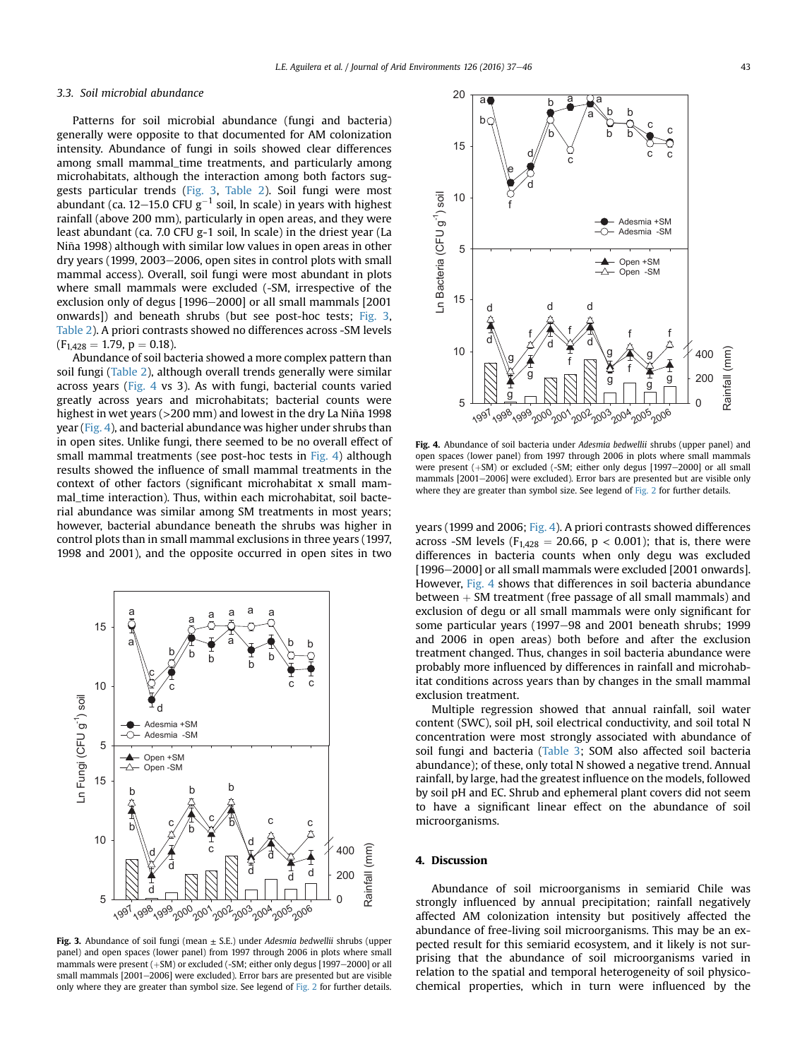#### 3.3. Soil microbial abundance

Patterns for soil microbial abundance (fungi and bacteria) generally were opposite to that documented for AM colonization intensity. Abundance of fungi in soils showed clear differences among small mammal\_time treatments, and particularly among microhabitats, although the interaction among both factors suggests particular trends (Fig. 3, [Table 2](#page-5-0)). Soil fungi were most abundant (ca. 12–15.0 CFU g $^{-1}$  soil, ln scale) in years with highest rainfall (above 200 mm), particularly in open areas, and they were least abundant (ca. 7.0 CFU g-1 soil, ln scale) in the driest year (La Niña 1998) although with similar low values in open areas in other dry years (1999, 2003-2006, open sites in control plots with small mammal access). Overall, soil fungi were most abundant in plots where small mammals were excluded (-SM, irrespective of the exclusion only of degus [1996-2000] or all small mammals [2001] onwards]) and beneath shrubs (but see post-hoc tests; Fig. 3, [Table 2](#page-5-0)). A priori contrasts showed no differences across -SM levels  $(F<sub>1.428</sub> = 1.79, p = 0.18).$ 

Abundance of soil bacteria showed a more complex pattern than soil fungi [\(Table 2](#page-5-0)), although overall trends generally were similar across years (Fig. 4 vs 3). As with fungi, bacterial counts varied greatly across years and microhabitats; bacterial counts were highest in wet years (>200 mm) and lowest in the dry La Niña 1998 year (Fig. 4), and bacterial abundance was higher under shrubs than in open sites. Unlike fungi, there seemed to be no overall effect of small mammal treatments (see post-hoc tests in Fig. 4) although results showed the influence of small mammal treatments in the context of other factors (significant microhabitat x small mammal\_time interaction). Thus, within each microhabitat, soil bacterial abundance was similar among SM treatments in most years; however, bacterial abundance beneath the shrubs was higher in control plots than in small mammal exclusions in three years (1997, 1998 and 2001), and the opposite occurred in open sites in two



Fig. 3. Abundance of soil fungi (mean  $\pm$  S.E.) under Adesmia bedwellii shrubs (upper panel) and open spaces (lower panel) from 1997 through 2006 in plots where small mammals were present  $(+SM)$  or excluded  $(-SM;$  either only degus [1997-2000] or all small mammals [2001-2006] were excluded). Error bars are presented but are visible only where they are greater than symbol size. See legend of [Fig. 2](#page-5-0) for further details.



Fig. 4. Abundance of soil bacteria under Adesmia bedwellii shrubs (upper panel) and open spaces (lower panel) from 1997 through 2006 in plots where small mammals were present  $(+SM)$  or excluded  $(-SM;$  either only degus  $[1997-2000]$  or all small mammals [2001-2006] were excluded). Error bars are presented but are visible only where they are greater than symbol size. See legend of [Fig. 2](#page-5-0) for further details.

years (1999 and 2006; Fig. 4). A priori contrasts showed differences across -SM levels ( $F_{1,428} = 20.66$ ,  $p < 0.001$ ); that is, there were differences in bacteria counts when only degu was excluded [1996-2000] or all small mammals were excluded [2001 onwards]. However, Fig. 4 shows that differences in soil bacteria abundance between  $+$  SM treatment (free passage of all small mammals) and exclusion of degu or all small mammals were only significant for some particular years (1997–98 and 2001 beneath shrubs; 1999 and 2006 in open areas) both before and after the exclusion treatment changed. Thus, changes in soil bacteria abundance were probably more influenced by differences in rainfall and microhabitat conditions across years than by changes in the small mammal exclusion treatment.

Multiple regression showed that annual rainfall, soil water content (SWC), soil pH, soil electrical conductivity, and soil total N concentration were most strongly associated with abundance of soil fungi and bacteria ([Table 3;](#page-5-0) SOM also affected soil bacteria abundance); of these, only total N showed a negative trend. Annual rainfall, by large, had the greatest influence on the models, followed by soil pH and EC. Shrub and ephemeral plant covers did not seem to have a significant linear effect on the abundance of soil microorganisms.

# 4. Discussion

Abundance of soil microorganisms in semiarid Chile was strongly influenced by annual precipitation; rainfall negatively affected AM colonization intensity but positively affected the abundance of free-living soil microorganisms. This may be an expected result for this semiarid ecosystem, and it likely is not surprising that the abundance of soil microorganisms varied in relation to the spatial and temporal heterogeneity of soil physicochemical properties, which in turn were influenced by the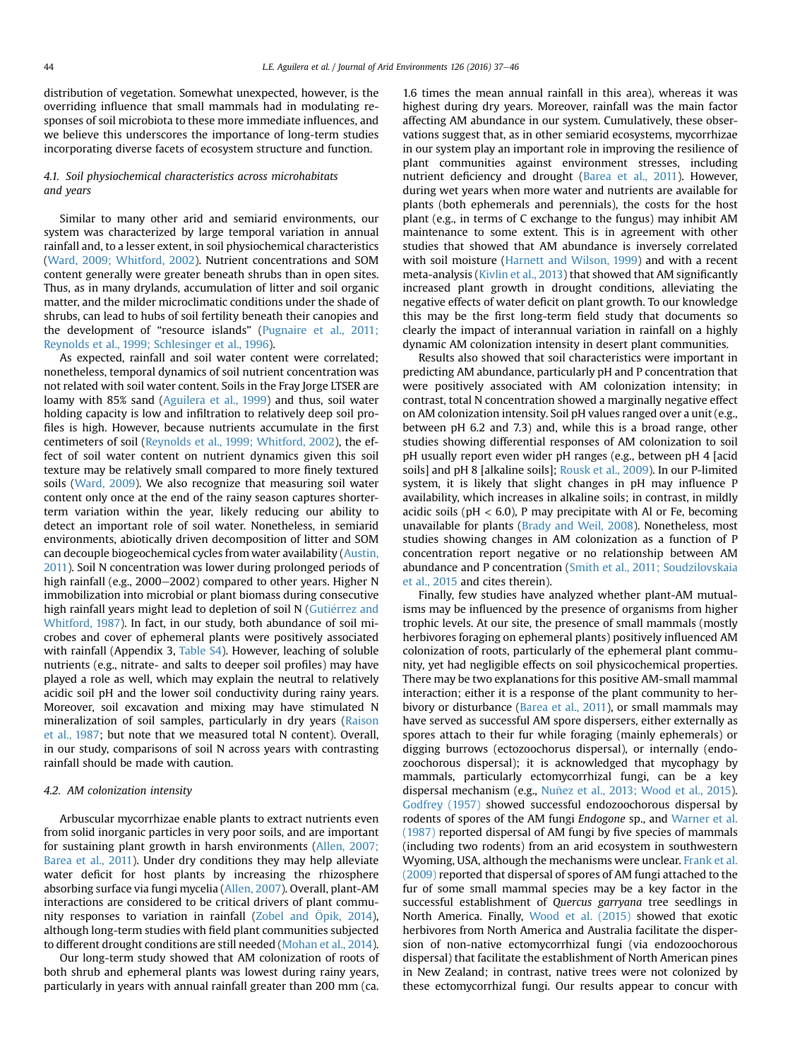distribution of vegetation. Somewhat unexpected, however, is the overriding influence that small mammals had in modulating responses of soil microbiota to these more immediate influences, and we believe this underscores the importance of long-term studies incorporating diverse facets of ecosystem structure and function.

# 4.1. Soil physiochemical characteristics across microhabitats and years

Similar to many other arid and semiarid environments, our system was characterized by large temporal variation in annual rainfall and, to a lesser extent, in soil physiochemical characteristics ([Ward, 2009; Whitford, 2002\)](#page-9-0). Nutrient concentrations and SOM content generally were greater beneath shrubs than in open sites. Thus, as in many drylands, accumulation of litter and soil organic matter, and the milder microclimatic conditions under the shade of shrubs, can lead to hubs of soil fertility beneath their canopies and the development of "resource islands" ([Pugnaire et al., 2011;](#page-9-0) [Reynolds et al., 1999; Schlesinger et al., 1996](#page-9-0)).

As expected, rainfall and soil water content were correlated; nonetheless, temporal dynamics of soil nutrient concentration was not related with soil water content. Soils in the Fray Jorge LTSER are loamy with 85% sand [\(Aguilera et al., 1999\)](#page-8-0) and thus, soil water holding capacity is low and infiltration to relatively deep soil profiles is high. However, because nutrients accumulate in the first centimeters of soil [\(Reynolds et al., 1999; Whitford, 2002\)](#page-9-0), the effect of soil water content on nutrient dynamics given this soil texture may be relatively small compared to more finely textured soils ([Ward, 2009](#page-9-0)). We also recognize that measuring soil water content only once at the end of the rainy season captures shorterterm variation within the year, likely reducing our ability to detect an important role of soil water. Nonetheless, in semiarid environments, abiotically driven decomposition of litter and SOM can decouple biogeochemical cycles from water availability ([Austin,](#page-9-0) [2011\)](#page-9-0). Soil N concentration was lower during prolonged periods of high rainfall (e.g.,  $2000-2002$ ) compared to other years. Higher N immobilization into microbial or plant biomass during consecutive high rainfall years might lead to depletion of soil N (Gutiérrez and [Whitford, 1987](#page-9-0)). In fact, in our study, both abundance of soil microbes and cover of ephemeral plants were positively associated with rainfall (Appendix 3, Table S4). However, leaching of soluble nutrients (e.g., nitrate- and salts to deeper soil profiles) may have played a role as well, which may explain the neutral to relatively acidic soil pH and the lower soil conductivity during rainy years. Moreover, soil excavation and mixing may have stimulated N mineralization of soil samples, particularly in dry years ([Raison](#page-9-0) [et al., 1987;](#page-9-0) but note that we measured total N content). Overall, in our study, comparisons of soil N across years with contrasting rainfall should be made with caution.

# 4.2. AM colonization intensity

Arbuscular mycorrhizae enable plants to extract nutrients even from solid inorganic particles in very poor soils, and are important for sustaining plant growth in harsh environments [\(Allen, 2007;](#page-8-0) [Barea et al., 2011](#page-8-0)). Under dry conditions they may help alleviate water deficit for host plants by increasing the rhizosphere absorbing surface via fungi mycelia [\(Allen, 2007\)](#page-8-0). Overall, plant-AM interactions are considered to be critical drivers of plant commu-nity responses to variation in rainfall ([Zobel and](#page-9-0) [Opik, 2014](#page-9-0)), although long-term studies with field plant communities subjected to different drought conditions are still needed [\(Mohan et al., 2014\)](#page-9-0).

Our long-term study showed that AM colonization of roots of both shrub and ephemeral plants was lowest during rainy years, particularly in years with annual rainfall greater than 200 mm (ca. 1.6 times the mean annual rainfall in this area), whereas it was highest during dry years. Moreover, rainfall was the main factor affecting AM abundance in our system. Cumulatively, these observations suggest that, as in other semiarid ecosystems, mycorrhizae in our system play an important role in improving the resilience of plant communities against environment stresses, including nutrient deficiency and drought [\(Barea et al., 2011\)](#page-9-0). However, during wet years when more water and nutrients are available for plants (both ephemerals and perennials), the costs for the host plant (e.g., in terms of C exchange to the fungus) may inhibit AM maintenance to some extent. This is in agreement with other studies that showed that AM abundance is inversely correlated with soil moisture ([Harnett and Wilson, 1999\)](#page-9-0) and with a recent meta-analysis ([Kivlin et al., 2013](#page-9-0)) that showed that AM significantly increased plant growth in drought conditions, alleviating the negative effects of water deficit on plant growth. To our knowledge this may be the first long-term field study that documents so clearly the impact of interannual variation in rainfall on a highly dynamic AM colonization intensity in desert plant communities.

Results also showed that soil characteristics were important in predicting AM abundance, particularly pH and P concentration that were positively associated with AM colonization intensity; in contrast, total N concentration showed a marginally negative effect on AM colonization intensity. Soil pH values ranged over a unit (e.g., between pH 6.2 and 7.3) and, while this is a broad range, other studies showing differential responses of AM colonization to soil pH usually report even wider pH ranges (e.g., between pH 4 [acid soils] and pH 8 [alkaline soils]; [Rousk et al., 2009](#page-9-0)). In our P-limited system, it is likely that slight changes in pH may influence P availability, which increases in alkaline soils; in contrast, in mildly acidic soils ( $pH < 6.0$ ), P may precipitate with Al or Fe, becoming unavailable for plants [\(Brady and Weil, 2008\)](#page-9-0). Nonetheless, most studies showing changes in AM colonization as a function of P concentration report negative or no relationship between AM abundance and P concentration ([Smith et al., 2011; Soudzilovskaia](#page-9-0) [et al., 2015](#page-9-0) and cites therein).

Finally, few studies have analyzed whether plant-AM mutualisms may be influenced by the presence of organisms from higher trophic levels. At our site, the presence of small mammals (mostly herbivores foraging on ephemeral plants) positively influenced AM colonization of roots, particularly of the ephemeral plant community, yet had negligible effects on soil physicochemical properties. There may be two explanations for this positive AM-small mammal interaction; either it is a response of the plant community to herbivory or disturbance ([Barea et al., 2011\)](#page-9-0), or small mammals may have served as successful AM spore dispersers, either externally as spores attach to their fur while foraging (mainly ephemerals) or digging burrows (ectozoochorus dispersal), or internally (endozoochorous dispersal); it is acknowledged that mycophagy by mammals, particularly ectomycorrhizal fungi, can be a key dispersal mechanism (e.g., Nuñez et al., 2013; Wood et al., 2015). [Godfrey \(1957\)](#page-9-0) showed successful endozoochorous dispersal by rodents of spores of the AM fungi Endogone sp., and [Warner et al.](#page-9-0) [\(1987\)](#page-9-0) reported dispersal of AM fungi by five species of mammals (including two rodents) from an arid ecosystem in southwestern Wyoming, USA, although the mechanisms were unclear. [Frank et al.](#page-9-0) [\(2009\)](#page-9-0) reported that dispersal of spores of AM fungi attached to the fur of some small mammal species may be a key factor in the successful establishment of Quercus garryana tree seedlings in North America. Finally, [Wood et al. \(2015\)](#page-9-0) showed that exotic herbivores from North America and Australia facilitate the dispersion of non-native ectomycorrhizal fungi (via endozoochorous dispersal) that facilitate the establishment of North American pines in New Zealand; in contrast, native trees were not colonized by these ectomycorrhizal fungi. Our results appear to concur with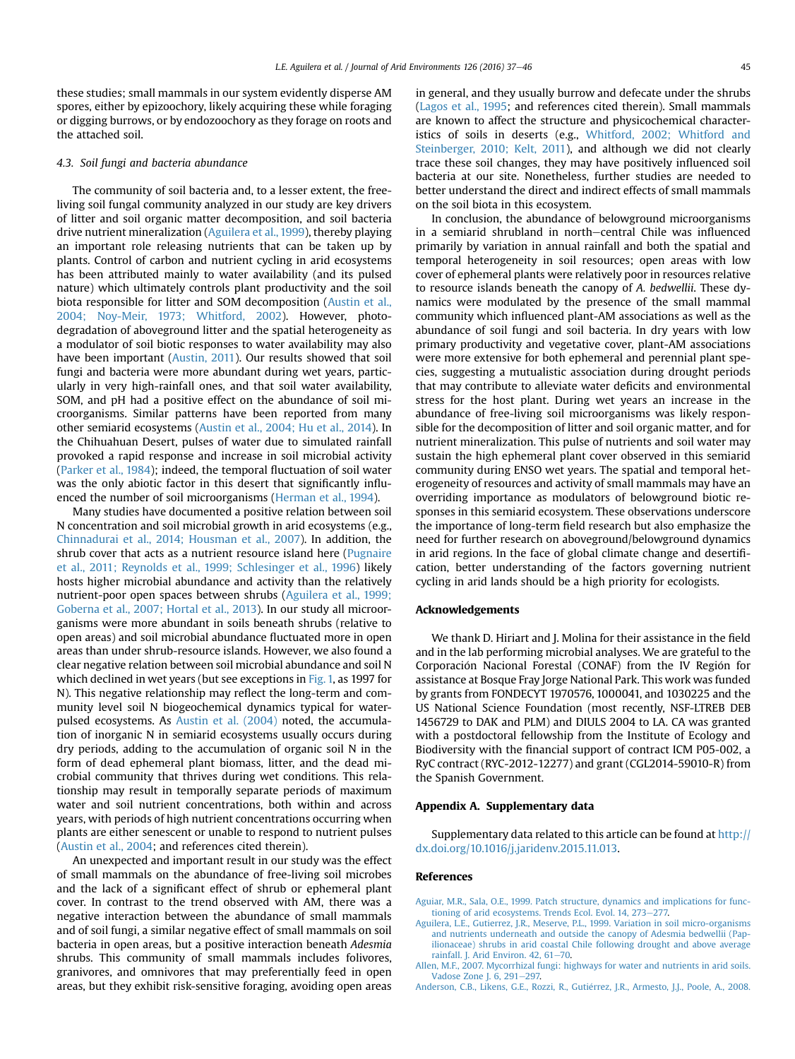<span id="page-8-0"></span>these studies; small mammals in our system evidently disperse AM spores, either by epizoochory, likely acquiring these while foraging or digging burrows, or by endozoochory as they forage on roots and the attached soil.

# 4.3. Soil fungi and bacteria abundance

The community of soil bacteria and, to a lesser extent, the freeliving soil fungal community analyzed in our study are key drivers of litter and soil organic matter decomposition, and soil bacteria drive nutrient mineralization (Aguilera et al., 1999), thereby playing an important role releasing nutrients that can be taken up by plants. Control of carbon and nutrient cycling in arid ecosystems has been attributed mainly to water availability (and its pulsed nature) which ultimately controls plant productivity and the soil biota responsible for litter and SOM decomposition ([Austin et al.,](#page-9-0) [2004; Noy-Meir, 1973; Whitford, 2002](#page-9-0)). However, photodegradation of aboveground litter and the spatial heterogeneity as a modulator of soil biotic responses to water availability may also have been important [\(Austin, 2011](#page-9-0)). Our results showed that soil fungi and bacteria were more abundant during wet years, particularly in very high-rainfall ones, and that soil water availability, SOM, and pH had a positive effect on the abundance of soil microorganisms. Similar patterns have been reported from many other semiarid ecosystems [\(Austin et al., 2004; Hu et al., 2014\)](#page-9-0). In the Chihuahuan Desert, pulses of water due to simulated rainfall provoked a rapid response and increase in soil microbial activity ([Parker et al., 1984\)](#page-9-0); indeed, the temporal fluctuation of soil water was the only abiotic factor in this desert that significantly influenced the number of soil microorganisms [\(Herman et al., 1994\)](#page-9-0).

Many studies have documented a positive relation between soil N concentration and soil microbial growth in arid ecosystems (e.g., [Chinnadurai et al., 2014; Housman et al., 2007\)](#page-9-0). In addition, the shrub cover that acts as a nutrient resource island here [\(Pugnaire](#page-9-0) [et al., 2011; Reynolds et al., 1999; Schlesinger et al., 1996\)](#page-9-0) likely hosts higher microbial abundance and activity than the relatively nutrient-poor open spaces between shrubs (Aguilera et al., 1999; Goberna et al., 2007; Hortal et al., 2013). In our study all microorganisms were more abundant in soils beneath shrubs (relative to open areas) and soil microbial abundance fluctuated more in open areas than under shrub-resource islands. However, we also found a clear negative relation between soil microbial abundance and soil N which declined in wet years (but see exceptions in [Fig. 1,](#page-2-0) as 1997 for N). This negative relationship may reflect the long-term and community level soil N biogeochemical dynamics typical for waterpulsed ecosystems. As [Austin et al. \(2004\)](#page-9-0) noted, the accumulation of inorganic N in semiarid ecosystems usually occurs during dry periods, adding to the accumulation of organic soil N in the form of dead ephemeral plant biomass, litter, and the dead microbial community that thrives during wet conditions. This relationship may result in temporally separate periods of maximum water and soil nutrient concentrations, both within and across years, with periods of high nutrient concentrations occurring when plants are either senescent or unable to respond to nutrient pulses ([Austin et al., 2004](#page-9-0); and references cited therein).

An unexpected and important result in our study was the effect of small mammals on the abundance of free-living soil microbes and the lack of a significant effect of shrub or ephemeral plant cover. In contrast to the trend observed with AM, there was a negative interaction between the abundance of small mammals and of soil fungi, a similar negative effect of small mammals on soil bacteria in open areas, but a positive interaction beneath Adesmia shrubs. This community of small mammals includes folivores, granivores, and omnivores that may preferentially feed in open areas, but they exhibit risk-sensitive foraging, avoiding open areas in general, and they usually burrow and defecate under the shrubs ([Lagos et al., 1995;](#page-9-0) and references cited therein). Small mammals are known to affect the structure and physicochemical characteristics of soils in deserts (e.g., [Whitford, 2002; Whitford and](#page-9-0) [Steinberger, 2010; Kelt, 2011](#page-9-0)), and although we did not clearly trace these soil changes, they may have positively influenced soil bacteria at our site. Nonetheless, further studies are needed to better understand the direct and indirect effects of small mammals on the soil biota in this ecosystem.

In conclusion, the abundance of belowground microorganisms in a semiarid shrubland in north-central Chile was influenced primarily by variation in annual rainfall and both the spatial and temporal heterogeneity in soil resources; open areas with low cover of ephemeral plants were relatively poor in resources relative to resource islands beneath the canopy of A. bedwellii. These dynamics were modulated by the presence of the small mammal community which influenced plant-AM associations as well as the abundance of soil fungi and soil bacteria. In dry years with low primary productivity and vegetative cover, plant-AM associations were more extensive for both ephemeral and perennial plant species, suggesting a mutualistic association during drought periods that may contribute to alleviate water deficits and environmental stress for the host plant. During wet years an increase in the abundance of free-living soil microorganisms was likely responsible for the decomposition of litter and soil organic matter, and for nutrient mineralization. This pulse of nutrients and soil water may sustain the high ephemeral plant cover observed in this semiarid community during ENSO wet years. The spatial and temporal heterogeneity of resources and activity of small mammals may have an overriding importance as modulators of belowground biotic responses in this semiarid ecosystem. These observations underscore the importance of long-term field research but also emphasize the need for further research on aboveground/belowground dynamics in arid regions. In the face of global climate change and desertification, better understanding of the factors governing nutrient cycling in arid lands should be a high priority for ecologists.

### Acknowledgements

We thank D. Hiriart and J. Molina for their assistance in the field and in the lab performing microbial analyses. We are grateful to the Corporación Nacional Forestal (CONAF) from the IV Región for assistance at Bosque Fray Jorge National Park. This work was funded by grants from FONDECYT 1970576, 1000041, and 1030225 and the US National Science Foundation (most recently, NSF-LTREB DEB 1456729 to DAK and PLM) and DIULS 2004 to LA. CA was granted with a postdoctoral fellowship from the Institute of Ecology and Biodiversity with the financial support of contract ICM P05-002, a RyC contract (RYC-2012-12277) and grant (CGL2014-59010-R) from the Spanish Government.

#### Appendix A. Supplementary data

Supplementary data related to this article can be found at [http://](http://dx.doi.org/10.1016/j.jaridenv.2015.11.013) [dx.doi.org/10.1016/j.jaridenv.2015.11.013.](http://dx.doi.org/10.1016/j.jaridenv.2015.11.013)

#### References

- [Aguiar, M.R., Sala, O.E., 1999. Patch structure, dynamics and implications for func](http://refhub.elsevier.com/S0140-1963(15)30099-9/sref1)[tioning of arid ecosystems. Trends Ecol. Evol. 14, 273](http://refhub.elsevier.com/S0140-1963(15)30099-9/sref1)-[277.](http://refhub.elsevier.com/S0140-1963(15)30099-9/sref1)
- [Aguilera, L.E., Gutierrez, J.R., Meserve, P.L., 1999. Variation in soil micro-organisms](http://refhub.elsevier.com/S0140-1963(15)30099-9/sref2) [and nutrients underneath and outside the canopy of Adesmia bedwellii \(Pap](http://refhub.elsevier.com/S0140-1963(15)30099-9/sref2)[ilionaceae\) shrubs in arid coastal Chile following drought and above average](http://refhub.elsevier.com/S0140-1963(15)30099-9/sref2) rainfall. J. Arid Environ.  $42, 61-70$  $42, 61-70$ .
- [Allen, M.F., 2007. Mycorrhizal fungi: highways for water and nutrients in arid soils.](http://refhub.elsevier.com/S0140-1963(15)30099-9/sref3) [Vadose Zone J. 6, 291](http://refhub.elsevier.com/S0140-1963(15)30099-9/sref3)-[297.](http://refhub.elsevier.com/S0140-1963(15)30099-9/sref3)
- [Anderson, C.B., Likens, G.E., Rozzi, R., Guti](http://refhub.elsevier.com/S0140-1963(15)30099-9/sref4)é[rrez, J.R., Armesto, J.J., Poole, A., 2008.](http://refhub.elsevier.com/S0140-1963(15)30099-9/sref4)